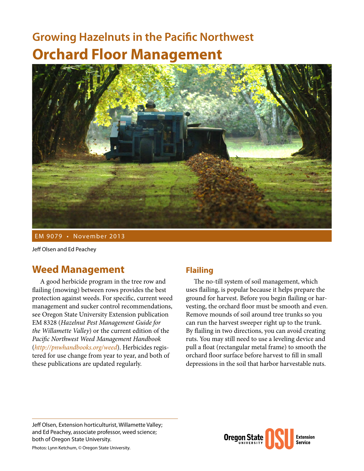# **Growing Hazelnuts in the Pacific Northwest Orchard Floor Management**



EM 9079 • November 2013

Jeff Olsen and Ed Peachey

## **Weed Management**

A good herbicide program in the tree row and flailing (mowing) between rows provides the best protection against weeds. For specific, current weed management and sucker control recommendations, see Oregon State University Extension publication EM 8328 (*Hazelnut Pest Management Guide for the Willamette Valley*) or the current edition of the *Pacific Northwest Weed Management Handbook* (*<http://pnwhandbooks.org/weed>*). Herbicides registered for use change from year to year, and both of these publications are updated regularly.

### **Flailing**

The no-till system of soil management, which uses flailing, is popular because it helps prepare the ground for harvest. Before you begin flailing or harvesting, the orchard floor must be smooth and even. Remove mounds of soil around tree trunks so you can run the harvest sweeper right up to the trunk. By flailing in two directions, you can avoid creating ruts. You may still need to use a leveling device and pull a float (rectangular metal frame) to smooth the orchard floor surface before harvest to fill in small depressions in the soil that harbor harvestable nuts.

Jeff Olsen, Extension horticulturist, Willamette Valley; and Ed Peachey, associate professor, weed science; both of Oregon State University.

**Oregon Stat Extension Service** 

Photos: Lynn Ketchum, © Oregon State University.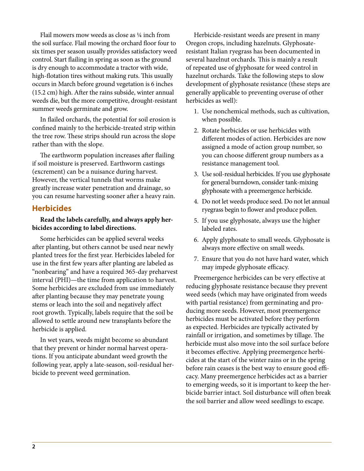Flail mowers mow weeds as close as ¼ inch from the soil surface. Flail mowing the orchard floor four to six times per season usually provides satisfactory weed control. Start flailing in spring as soon as the ground is dry enough to accommodate a tractor with wide, high-flotation tires without making ruts. This usually occurs in March before ground vegetation is 6 inches (15.2 cm) high. After the rains subside, winter annual weeds die, but the more competitive, drought-resistant summer weeds germinate and grow.

In flailed orchards, the potential for soil erosion is confined mainly to the herbicide-treated strip within the tree row. These strips should run across the slope rather than with the slope.

The earthworm population increases after flailing if soil moisture is preserved. Earthworm castings (excrement) can be a nuisance during harvest. However, the vertical tunnels that worms make greatly increase water penetration and drainage, so you can resume harvesting sooner after a heavy rain.

#### **Herbicides**

#### **Read the labels carefully, and always apply herbicides according to label directions.**

Some herbicides can be applied several weeks after planting, but others cannot be used near newly planted trees for the first year. Herbicides labeled for use in the first few years after planting are labeled as "nonbearing" and have a required 365-day preharvest interval (PHI)—the time from application to harvest. Some herbicides are excluded from use immediately after planting because they may penetrate young stems or leach into the soil and negatively affect root growth. Typically, labels require that the soil be allowed to settle around new transplants before the herbicide is applied.

In wet years, weeds might become so abundant that they prevent or hinder normal harvest operations. If you anticipate abundant weed growth the following year, apply a late-season, soil-residual herbicide to prevent weed germination.

Herbicide-resistant weeds are present in many Oregon crops, including hazelnuts. Glyphosateresistant Italian ryegrass has been documented in several hazelnut orchards. This is mainly a result of repeated use of glyphosate for weed control in hazelnut orchards. Take the following steps to slow development of glyphosate resistance (these steps are generally applicable to preventing overuse of other herbicides as well):

- 1. Use nonchemical methods, such as cultivation, when possible.
- 2. Rotate herbicides or use herbicides with different modes of action. Herbicides are now assigned a mode of action group number, so you can choose different group numbers as a resistance management tool.
- 3. Use soil-residual herbicides. If you use glyphosate for general burndown, consider tank-mixing glyphosate with a preemergence herbicide.
- 4. Do not let weeds produce seed. Do not let annual ryegrass begin to flower and produce pollen.
- 5. If you use glyphosate, always use the higher labeled rates.
- 6. Apply glyphosate to small weeds. Glyphosate is always more effective on small weeds.
- 7. Ensure that you do not have hard water, which may impede glyphosate efficacy.

Preemergence herbicides can be very effective at reducing glyphosate resistance because they prevent weed seeds (which may have originated from weeds with partial resistance) from germinating and producing more seeds. However, most preemergence herbicides must be activated before they perform as expected. Herbicides are typically activated by rainfall or irrigation, and sometimes by tillage. The herbicide must also move into the soil surface before it becomes effective. Applying preemergence herbicides at the start of the winter rains or in the spring before rain ceases is the best way to ensure good efficacy. Many preemergence herbicides act as a barrier to emerging weeds, so it is important to keep the herbicide barrier intact. Soil disturbance will often break the soil barrier and allow weed seedlings to escape.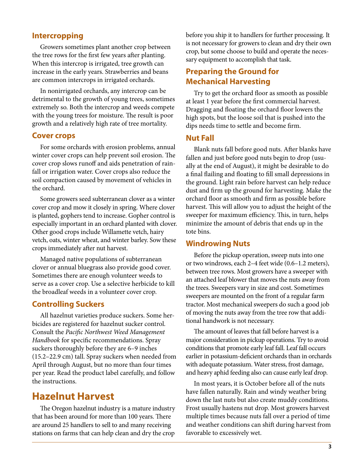#### **Intercropping**

Growers sometimes plant another crop between the tree rows for the first few years after planting. When this intercrop is irrigated, tree growth can increase in the early years. Strawberries and beans are common intercrops in irrigated orchards.

In nonirrigated orchards, any intercrop can be detrimental to the growth of young trees, sometimes extremely so. Both the intercrop and weeds compete with the young trees for moisture. The result is poor growth and a relatively high rate of tree mortality.

#### **Cover crops**

For some orchards with erosion problems, annual winter cover crops can help prevent soil erosion. The cover crop slows runoff and aids penetration of rainfall or irrigation water. Cover crops also reduce the soil compaction caused by movement of vehicles in the orchard.

Some growers seed subterranean clover as a winter cover crop and mow it closely in spring. Where clover is planted, gophers tend to increase. Gopher control is especially important in an orchard planted with clover. Other good crops include Willamette vetch, hairy vetch, oats, winter wheat, and winter barley. Sow these crops immediately after nut harvest.

Managed native populations of subterranean clover or annual bluegrass also provide good cover. Sometimes there are enough volunteer weeds to serve as a cover crop. Use a selective herbicide to kill the broadleaf weeds in a volunteer cover crop.

#### **Controlling Suckers**

All hazelnut varieties produce suckers. Some herbicides are registered for hazelnut sucker control. Consult the *Pacific Northwest Weed Management Handbook* for specific recommendations. Spray suckers thoroughly before they are 6–9 inches (15.2–22.9 cm) tall. Spray suckers when needed from April through August, but no more than four times per year. Read the product label carefully, and follow the instructions.

## **Hazelnut Harvest**

The Oregon hazelnut industry is a mature industry that has been around for more than 100 years. There are around 25 handlers to sell to and many receiving stations on farms that can help clean and dry the crop

before you ship it to handlers for further processing. It is not necessary for growers to clean and dry their own crop, but some choose to build and operate the necessary equipment to accomplish that task.

#### **Preparing the Ground for Mechanical Harvesting**

Try to get the orchard floor as smooth as possible at least 1 year before the first commercial harvest. Dragging and floating the orchard floor lowers the high spots, but the loose soil that is pushed into the dips needs time to settle and become firm.

#### **Nut Fall**

Blank nuts fall before good nuts. After blanks have fallen and just before good nuts begin to drop (usually at the end of August), it might be desirable to do a final flailing and floating to fill small depressions in the ground. Light rain before harvest can help reduce dust and firm up the ground for harvesting. Make the orchard floor as smooth and firm as possible before harvest. This will allow you to adjust the height of the sweeper for maximum efficiency. This, in turn, helps minimize the amount of debris that ends up in the tote bins.

#### **Windrowing Nuts**

Before the pickup operation, sweep nuts into one or two windrows, each 2–4 feet wide (0.6–1.2 meters), between tree rows. Most growers have a sweeper with an attached leaf blower that moves the nuts away from the trees. Sweepers vary in size and cost. Sometimes sweepers are mounted on the front of a regular farm tractor. Most mechanical sweepers do such a good job of moving the nuts away from the tree row that additional handwork is not necessary.

The amount of leaves that fall before harvest is a major consideration in pickup operations. Try to avoid conditions that promote early leaf fall. Leaf fall occurs earlier in potassium-deficient orchards than in orchards with adequate potassium. Water stress, frost damage, and heavy aphid feeding also can cause early leaf drop.

In most years, it is October before all of the nuts have fallen naturally. Rain and windy weather bring down the last nuts but also create muddy conditions. Frost usually hastens nut drop. Most growers harvest multiple times because nuts fall over a period of time and weather conditions can shift during harvest from favorable to excessively wet.